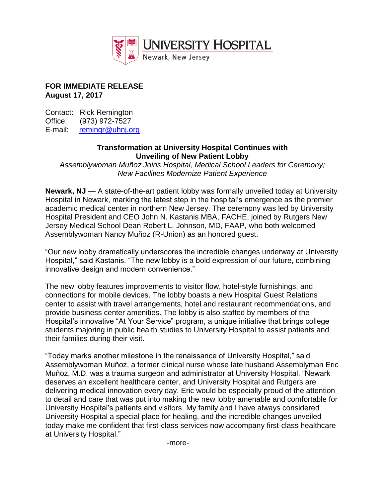

## **FOR IMMEDIATE RELEASE August 17, 2017**

Contact: Rick Remington Office: (973) 972-7527 E-mail: [remingr@uhnj.org](mailto:remingr@uhnj.org)

## **Transformation at University Hospital Continues with Unveiling of New Patient Lobby**

*Assemblywoman Muñoz Joins Hospital, Medical School Leaders for Ceremony; New Facilities Modernize Patient Experience*

**Newark, NJ** — A state-of-the-art patient lobby was formally unveiled today at University Hospital in Newark, marking the latest step in the hospital's emergence as the premier academic medical center in northern New Jersey. The ceremony was led by University Hospital President and CEO John N. Kastanis MBA, FACHE, joined by Rutgers New Jersey Medical School Dean Robert L. Johnson, MD, FAAP, who both welcomed Assemblywoman Nancy Muñoz (R-Union) as an honored guest.

"Our new lobby dramatically underscores the incredible changes underway at University Hospital," said Kastanis. "The new lobby is a bold expression of our future, combining innovative design and modern convenience."

The new lobby features improvements to visitor flow, hotel-style furnishings, and connections for mobile devices. The lobby boasts a new Hospital Guest Relations center to assist with travel arrangements, hotel and restaurant recommendations, and provide business center amenities. The lobby is also staffed by members of the Hospital's innovative "At Your Service" program, a unique initiative that brings college students majoring in public health studies to University Hospital to assist patients and their families during their visit.

"Today marks another milestone in the renaissance of University Hospital," said Assemblywoman Muñoz, a former clinical nurse whose late husband Assemblyman Eric Muñoz, M.D. was a trauma surgeon and administrator at University Hospital. "Newark deserves an excellent healthcare center, and University Hospital and Rutgers are delivering medical innovation every day. Eric would be especially proud of the attention to detail and care that was put into making the new lobby amenable and comfortable for University Hospital's patients and visitors. My family and I have always considered University Hospital a special place for healing, and the incredible changes unveiled today make me confident that first-class services now accompany first-class healthcare at University Hospital."